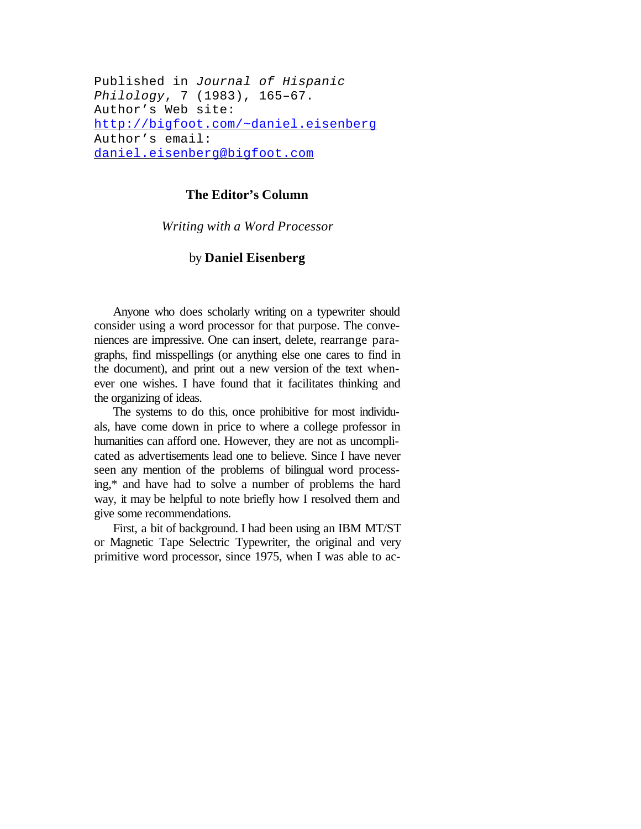Published in *Journal of Hispanic Philology*, 7 (1983), 165–67. Author's Web site: http://bigfoot.com/~daniel.eisenberg Author's email: daniel.eisenberg@bigfoot.com

## **The Editor's Column**

*Writing with a Word Processor*

## by **Daniel Eisenberg**

Anyone who does scholarly writing on a typewriter should consider using a word processor for that purpose. The conveniences are impressive. One can insert, delete, rearrange paragraphs, find misspellings (or anything else one cares to find in the document), and print out a new version of the text whenever one wishes. I have found that it facilitates thinking and the organizing of ideas.

The systems to do this, once prohibitive for most individuals, have come down in price to where a college professor in humanities can afford one. However, they are not as uncomplicated as advertisements lead one to believe. Since I have never seen any mention of the problems of bilingual word processing,\* and have had to solve a number of problems the hard way, it may be helpful to note briefly how I resolved them and give some recommendations.

First, a bit of background. I had been using an IBM MT/ST or Magnetic Tape Selectric Typewriter, the original and very primitive word processor, since 1975, when I was able to ac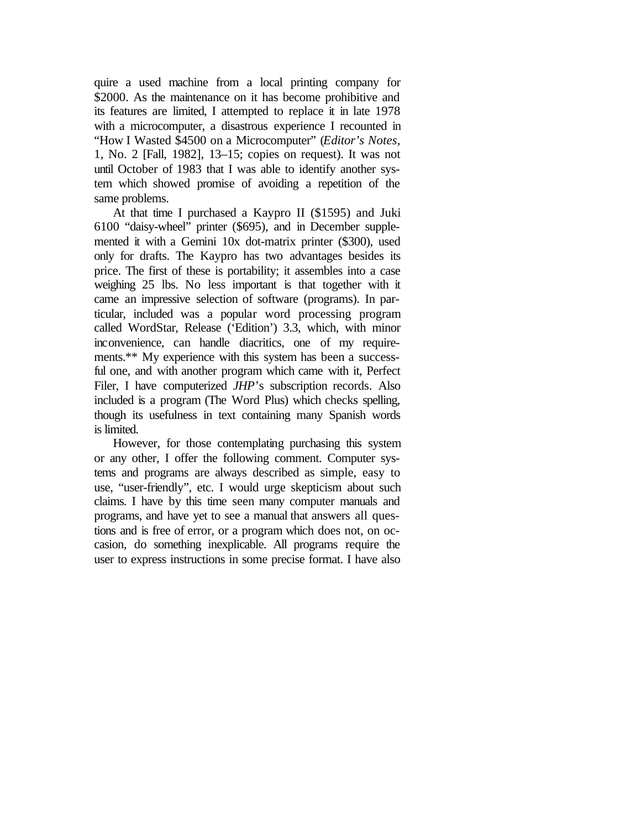quire a used machine from a local printing company for \$2000. As the maintenance on it has become prohibitive and its features are limited, I attempted to replace it in late 1978 with a microcomputer, a disastrous experience I recounted in "How I Wasted \$4500 on a Microcomputer" (*Editor's Notes*, 1, No. 2 [Fall, 1982], 13–15; copies on request). It was not until October of 1983 that I was able to identify another system which showed promise of avoiding a repetition of the same problems.

At that time I purchased a Kaypro II (\$1595) and Juki 6100 "daisy-wheel" printer (\$695), and in December supplemented it with a Gemini 10x dot-matrix printer (\$300), used only for drafts. The Kaypro has two advantages besides its price. The first of these is portability; it assembles into a case weighing 25 lbs. No less important is that together with it came an impressive selection of software (programs). In particular, included was a popular word processing program called WordStar, Release ('Edition') 3.3, which, with minor inconvenience, can handle diacritics, one of my requirements.\*\* My experience with this system has been a successful one, and with another program which came with it, Perfect Filer, I have computerized *JHP*'s subscription records. Also included is a program (The Word Plus) which checks spelling, though its usefulness in text containing many Spanish words is limited.

However, for those contemplating purchasing this system or any other, I offer the following comment. Computer systems and programs are always described as simple, easy to use, "user-friendly", etc. I would urge skepticism about such claims. I have by this time seen many computer manuals and programs, and have yet to see a manual that answers all questions and is free of error, or a program which does not, on occasion, do something inexplicable. All programs require the user to express instructions in some precise format. I have also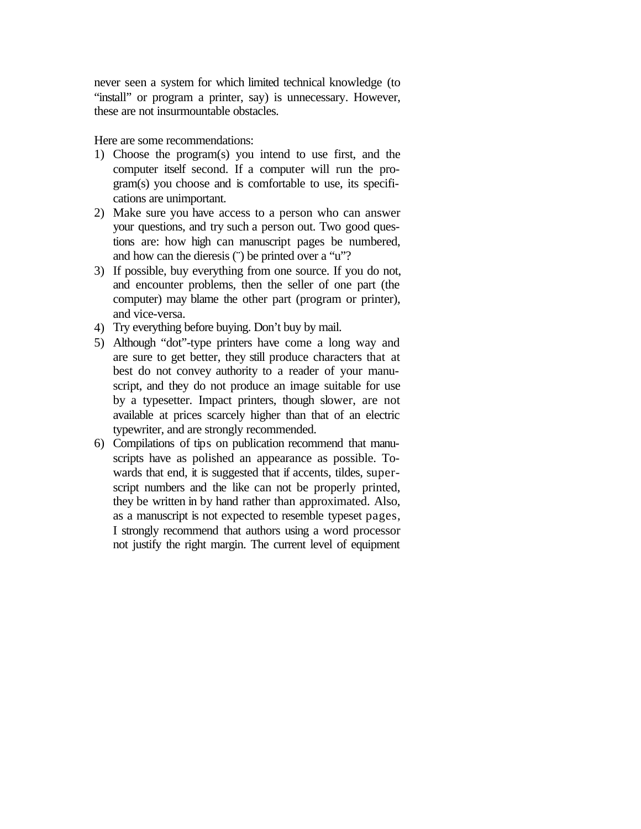never seen a system for which limited technical knowledge (to "install" or program a printer, say) is unnecessary. However, these are not insurmountable obstacles.

Here are some recommendations:

- 1) Choose the program(s) you intend to use first, and the computer itself second. If a computer will run the program(s) you choose and is comfortable to use, its specifications are unimportant.
- 2) Make sure you have access to a person who can answer your questions, and try such a person out. Two good questions are: how high can manuscript pages be numbered, and how can the dieresis (") be printed over a "u"?
- 3) If possible, buy everything from one source. If you do not, and encounter problems, then the seller of one part (the computer) may blame the other part (program or printer), and vice-versa.
- 4) Try everything before buying. Don't buy by mail.
- 5) Although "dot"-type printers have come a long way and are sure to get better, they still produce characters that at best do not convey authority to a reader of your manuscript, and they do not produce an image suitable for use by a typesetter. Impact printers, though slower, are not available at prices scarcely higher than that of an electric typewriter, and are strongly recommended.
- 6) Compilations of tips on publication recommend that manuscripts have as polished an appearance as possible. Towards that end, it is suggested that if accents, tildes, superscript numbers and the like can not be properly printed, they be written in by hand rather than approximated. Also, as a manuscript is not expected to resemble typeset pages, I strongly recommend that authors using a word processor not justify the right margin. The current level of equipment